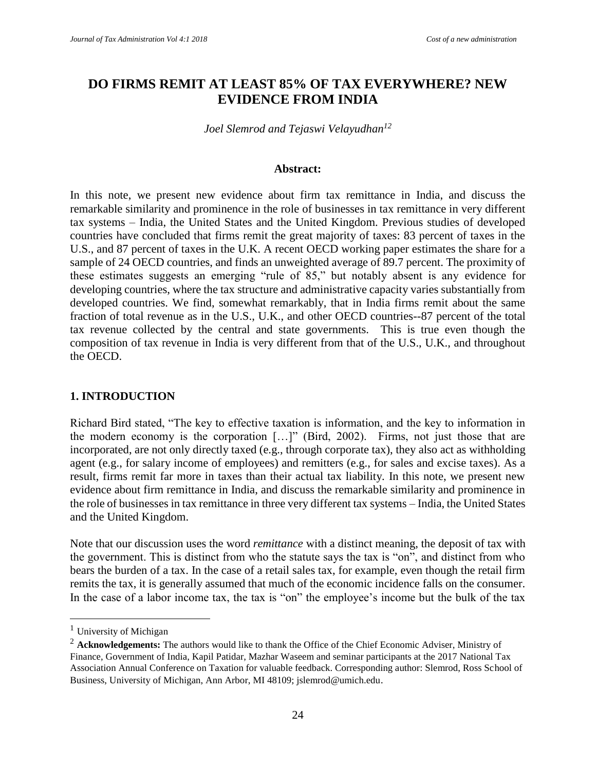# **DO FIRMS REMIT AT LEAST 85% OF TAX EVERYWHERE? NEW EVIDENCE FROM INDIA**

*Joel Slemrod and Tejaswi Velayudhan<sup>12</sup>*

#### **Abstract:**

In this note, we present new evidence about firm tax remittance in India, and discuss the remarkable similarity and prominence in the role of businesses in tax remittance in very different tax systems – India, the United States and the United Kingdom. Previous studies of developed countries have concluded that firms remit the great majority of taxes: 83 percent of taxes in the U.S., and 87 percent of taxes in the U.K. A recent OECD working paper estimates the share for a sample of 24 OECD countries, and finds an unweighted average of 89.7 percent. The proximity of these estimates suggests an emerging "rule of 85," but notably absent is any evidence for developing countries, where the tax structure and administrative capacity varies substantially from developed countries. We find, somewhat remarkably, that in India firms remit about the same fraction of total revenue as in the U.S., U.K., and other OECD countries--87 percent of the total tax revenue collected by the central and state governments. This is true even though the composition of tax revenue in India is very different from that of the U.S., U.K., and throughout the OECD.

#### **1. INTRODUCTION**

Richard Bird stated, "The key to effective taxation is information, and the key to information in the modern economy is the corporation […]" (Bird, 2002). Firms, not just those that are incorporated, are not only directly taxed (e.g., through corporate tax), they also act as withholding agent (e.g., for salary income of employees) and remitters (e.g., for sales and excise taxes). As a result, firms remit far more in taxes than their actual tax liability. In this note, we present new evidence about firm remittance in India, and discuss the remarkable similarity and prominence in the role of businesses in tax remittance in three very different tax systems – India, the United States and the United Kingdom.

Note that our discussion uses the word *remittance* with a distinct meaning, the deposit of tax with the government. This is distinct from who the statute says the tax is "on", and distinct from who bears the burden of a tax. In the case of a retail sales tax, for example, even though the retail firm remits the tax, it is generally assumed that much of the economic incidence falls on the consumer. In the case of a labor income tax, the tax is "on" the employee's income but the bulk of the tax

 $\overline{a}$ 

 $<sup>1</sup>$  University of Michigan</sup>

<sup>&</sup>lt;sup>2</sup> **Acknowledgements:** The authors would like to thank the Office of the Chief Economic Adviser, Ministry of Finance, Government of India, Kapil Patidar, Mazhar Waseem and seminar participants at the 2017 National Tax Association Annual Conference on Taxation for valuable feedback. Corresponding author: Slemrod, Ross School of Business, University of Michigan, Ann Arbor, MI 48109; jslemrod@umich.edu.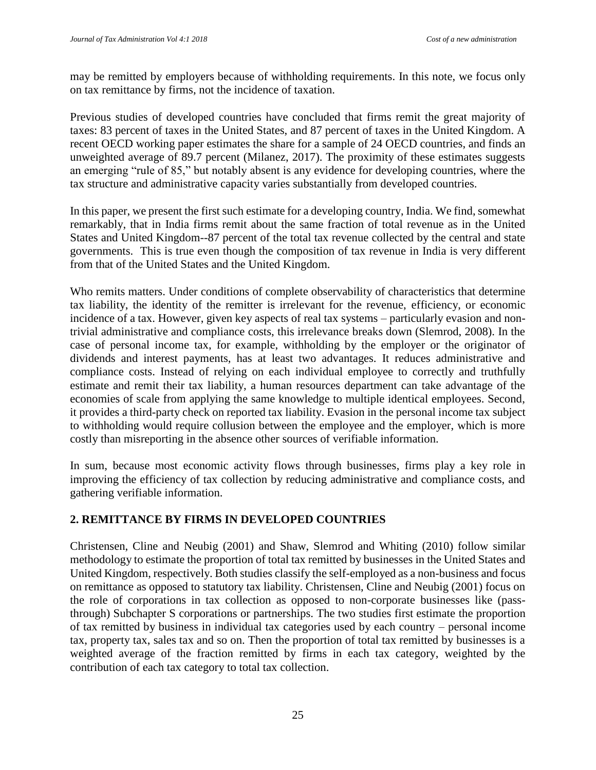may be remitted by employers because of withholding requirements. In this note, we focus only on tax remittance by firms, not the incidence of taxation.

Previous studies of developed countries have concluded that firms remit the great majority of taxes: 83 percent of taxes in the United States, and 87 percent of taxes in the United Kingdom. A recent OECD working paper estimates the share for a sample of 24 OECD countries, and finds an unweighted average of 89.7 percent (Milanez, 2017). The proximity of these estimates suggests an emerging "rule of 85," but notably absent is any evidence for developing countries, where the tax structure and administrative capacity varies substantially from developed countries.

In this paper, we present the first such estimate for a developing country, India. We find, somewhat remarkably, that in India firms remit about the same fraction of total revenue as in the United States and United Kingdom--87 percent of the total tax revenue collected by the central and state governments. This is true even though the composition of tax revenue in India is very different from that of the United States and the United Kingdom.

Who remits matters. Under conditions of complete observability of characteristics that determine tax liability, the identity of the remitter is irrelevant for the revenue, efficiency, or economic incidence of a tax. However, given key aspects of real tax systems – particularly evasion and nontrivial administrative and compliance costs, this irrelevance breaks down (Slemrod, 2008). In the case of personal income tax, for example, withholding by the employer or the originator of dividends and interest payments, has at least two advantages. It reduces administrative and compliance costs. Instead of relying on each individual employee to correctly and truthfully estimate and remit their tax liability, a human resources department can take advantage of the economies of scale from applying the same knowledge to multiple identical employees. Second, it provides a third-party check on reported tax liability. Evasion in the personal income tax subject to withholding would require collusion between the employee and the employer, which is more costly than misreporting in the absence other sources of verifiable information.

In sum, because most economic activity flows through businesses, firms play a key role in improving the efficiency of tax collection by reducing administrative and compliance costs, and gathering verifiable information.

## **2. REMITTANCE BY FIRMS IN DEVELOPED COUNTRIES**

Christensen, Cline and Neubig (2001) and Shaw, Slemrod and Whiting (2010) follow similar methodology to estimate the proportion of total tax remitted by businesses in the United States and United Kingdom, respectively. Both studies classify the self-employed as a non-business and focus on remittance as opposed to statutory tax liability. Christensen, Cline and Neubig (2001) focus on the role of corporations in tax collection as opposed to non-corporate businesses like (passthrough) Subchapter S corporations or partnerships. The two studies first estimate the proportion of tax remitted by business in individual tax categories used by each country – personal income tax, property tax, sales tax and so on. Then the proportion of total tax remitted by businesses is a weighted average of the fraction remitted by firms in each tax category, weighted by the contribution of each tax category to total tax collection.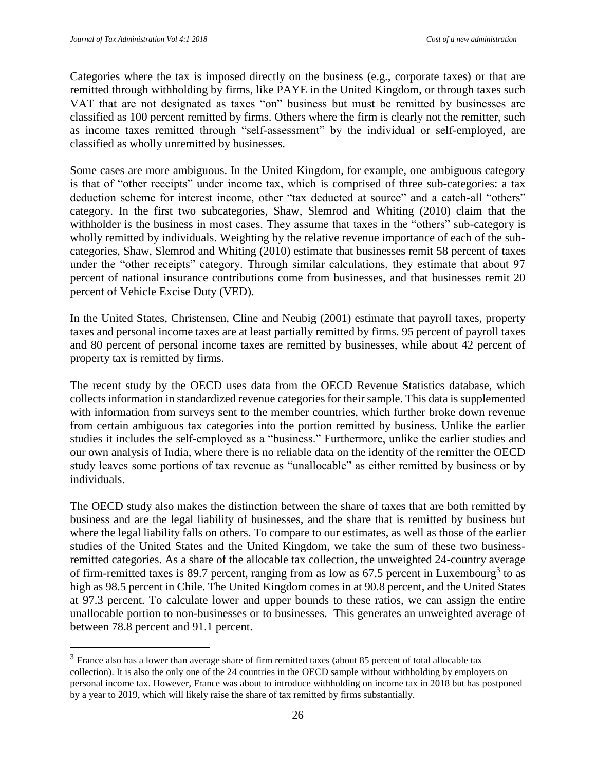$\overline{a}$ 

Categories where the tax is imposed directly on the business (e.g., corporate taxes) or that are remitted through withholding by firms, like PAYE in the United Kingdom, or through taxes such VAT that are not designated as taxes "on" business but must be remitted by businesses are classified as 100 percent remitted by firms. Others where the firm is clearly not the remitter, such as income taxes remitted through "self-assessment" by the individual or self-employed, are classified as wholly unremitted by businesses.

Some cases are more ambiguous. In the United Kingdom, for example, one ambiguous category is that of "other receipts" under income tax, which is comprised of three sub-categories: a tax deduction scheme for interest income, other "tax deducted at source" and a catch-all "others" category. In the first two subcategories, Shaw, Slemrod and Whiting (2010) claim that the withholder is the business in most cases. They assume that taxes in the "others" sub-category is wholly remitted by individuals. Weighting by the relative revenue importance of each of the subcategories, Shaw, Slemrod and Whiting (2010) estimate that businesses remit 58 percent of taxes under the "other receipts" category. Through similar calculations, they estimate that about 97 percent of national insurance contributions come from businesses, and that businesses remit 20 percent of Vehicle Excise Duty (VED).

In the United States, Christensen, Cline and Neubig (2001) estimate that payroll taxes, property taxes and personal income taxes are at least partially remitted by firms. 95 percent of payroll taxes and 80 percent of personal income taxes are remitted by businesses, while about 42 percent of property tax is remitted by firms.

The recent study by the OECD uses data from the OECD Revenue Statistics database, which collects information in standardized revenue categories for their sample. This data is supplemented with information from surveys sent to the member countries, which further broke down revenue from certain ambiguous tax categories into the portion remitted by business. Unlike the earlier studies it includes the self-employed as a "business." Furthermore, unlike the earlier studies and our own analysis of India, where there is no reliable data on the identity of the remitter the OECD study leaves some portions of tax revenue as "unallocable" as either remitted by business or by individuals.

The OECD study also makes the distinction between the share of taxes that are both remitted by business and are the legal liability of businesses, and the share that is remitted by business but where the legal liability falls on others. To compare to our estimates, as well as those of the earlier studies of the United States and the United Kingdom, we take the sum of these two businessremitted categories. As a share of the allocable tax collection, the unweighted 24-country average of firm-remitted taxes is 89.7 percent, ranging from as low as 67.5 percent in Luxembourg<sup>3</sup> to as high as 98.5 percent in Chile. The United Kingdom comes in at 90.8 percent, and the United States at 97.3 percent. To calculate lower and upper bounds to these ratios, we can assign the entire unallocable portion to non-businesses or to businesses. This generates an unweighted average of between 78.8 percent and 91.1 percent.

 $3$  France also has a lower than average share of firm remitted taxes (about 85 percent of total allocable tax collection). It is also the only one of the 24 countries in the OECD sample without withholding by employers on personal income tax. However, France was about to introduce withholding on income tax in 2018 but has postponed by a year to 2019, which will likely raise the share of tax remitted by firms substantially.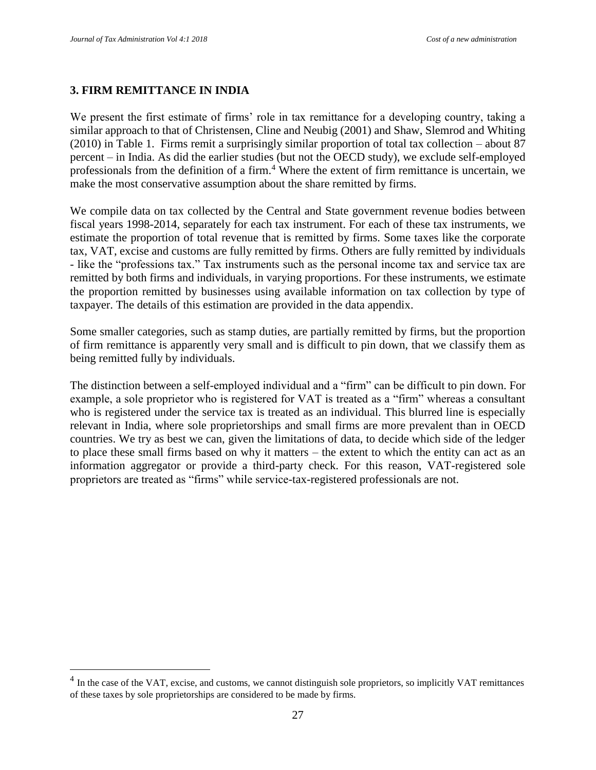$\overline{a}$ 

#### **3. FIRM REMITTANCE IN INDIA**

We present the first estimate of firms' role in tax remittance for a developing country, taking a similar approach to that of Christensen, Cline and Neubig (2001) and Shaw, Slemrod and Whiting (2010) in Table 1. Firms remit a surprisingly similar proportion of total tax collection – about 87 percent – in India. As did the earlier studies (but not the OECD study), we exclude self-employed professionals from the definition of a firm.<sup>4</sup> Where the extent of firm remittance is uncertain, we make the most conservative assumption about the share remitted by firms.

We compile data on tax collected by the Central and State government revenue bodies between fiscal years 1998-2014, separately for each tax instrument. For each of these tax instruments, we estimate the proportion of total revenue that is remitted by firms. Some taxes like the corporate tax, VAT, excise and customs are fully remitted by firms. Others are fully remitted by individuals - like the "professions tax." Tax instruments such as the personal income tax and service tax are remitted by both firms and individuals, in varying proportions. For these instruments, we estimate the proportion remitted by businesses using available information on tax collection by type of taxpayer. The details of this estimation are provided in the data appendix.

Some smaller categories, such as stamp duties, are partially remitted by firms, but the proportion of firm remittance is apparently very small and is difficult to pin down, that we classify them as being remitted fully by individuals.

The distinction between a self-employed individual and a "firm" can be difficult to pin down. For example, a sole proprietor who is registered for VAT is treated as a "firm" whereas a consultant who is registered under the service tax is treated as an individual. This blurred line is especially relevant in India, where sole proprietorships and small firms are more prevalent than in OECD countries. We try as best we can, given the limitations of data, to decide which side of the ledger to place these small firms based on why it matters – the extent to which the entity can act as an information aggregator or provide a third-party check. For this reason, VAT-registered sole proprietors are treated as "firms" while service-tax-registered professionals are not.

 $<sup>4</sup>$  In the case of the VAT, excise, and customs, we cannot distinguish sole proprietors, so implicitly VAT remittances</sup> of these taxes by sole proprietorships are considered to be made by firms.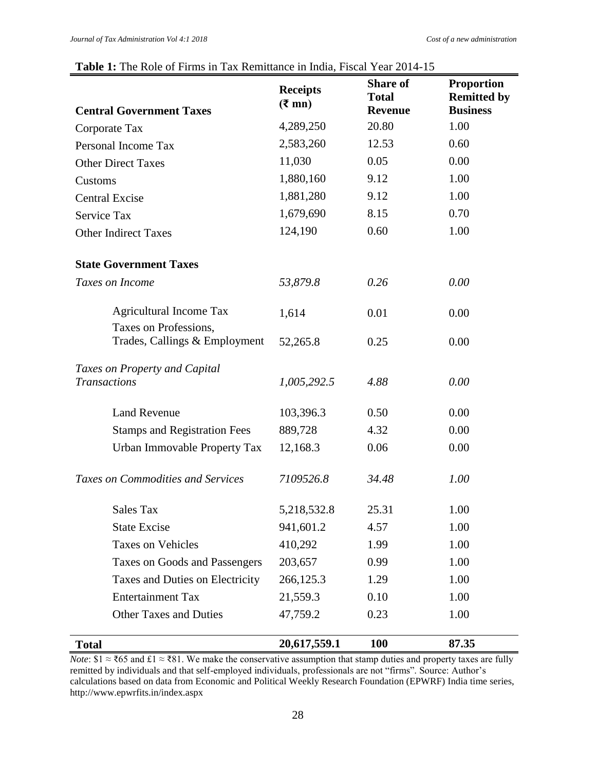### **Table 1:** The Role of Firms in Tax Remittance in India, Fiscal Year 2014-15

|                                                        | <b>Receipts</b><br>$(3 \text{ m})$ | <b>Share of</b><br><b>Total</b> | <b>Proportion</b><br><b>Remitted by</b> |
|--------------------------------------------------------|------------------------------------|---------------------------------|-----------------------------------------|
| <b>Central Government Taxes</b>                        |                                    | <b>Revenue</b><br>20.80         | <b>Business</b><br>1.00                 |
| Corporate Tax                                          | 4,289,250                          |                                 |                                         |
| Personal Income Tax                                    | 2,583,260                          | 12.53                           | 0.60                                    |
| <b>Other Direct Taxes</b>                              | 11,030                             | 0.05                            | 0.00                                    |
| Customs                                                | 1,880,160                          | 9.12                            | 1.00                                    |
| <b>Central Excise</b>                                  | 1,881,280                          | 9.12                            | 1.00                                    |
| Service Tax                                            | 1,679,690                          | 8.15                            | 0.70                                    |
| <b>Other Indirect Taxes</b>                            | 124,190                            | 0.60                            | 1.00                                    |
| <b>State Government Taxes</b>                          |                                    |                                 |                                         |
| Taxes on Income                                        | 53,879.8                           | 0.26                            | 0.00                                    |
| <b>Agricultural Income Tax</b>                         | 1,614                              | 0.01                            | 0.00                                    |
| Taxes on Professions,<br>Trades, Callings & Employment | 52,265.8                           | 0.25                            | 0.00                                    |
| Taxes on Property and Capital<br><b>Transactions</b>   | 1,005,292.5                        | 4.88                            | 0.00                                    |
| <b>Land Revenue</b>                                    | 103,396.3                          | 0.50                            | 0.00                                    |
| <b>Stamps and Registration Fees</b>                    | 889,728                            | 4.32                            | 0.00                                    |
| Urban Immovable Property Tax                           | 12,168.3                           | 0.06                            | 0.00                                    |
| <b>Taxes on Commodities and Services</b>               | 7109526.8                          | 34.48                           | 1.00                                    |
| Sales Tax                                              | 5,218,532.8                        | 25.31                           | 1.00                                    |
| <b>State Excise</b>                                    | 941,601.2                          | 4.57                            | 1.00                                    |
| <b>Taxes on Vehicles</b>                               | 410,292                            | 1.99                            | 1.00                                    |
| Taxes on Goods and Passengers                          | 203,657                            | 0.99                            | 1.00                                    |
| Taxes and Duties on Electricity                        | 266,125.3                          | 1.29                            | 1.00                                    |
| <b>Entertainment Tax</b>                               | 21,559.3                           | 0.10                            | 1.00                                    |
| <b>Other Taxes and Duties</b>                          | 47,759.2                           | 0.23                            | 1.00                                    |
| <b>Total</b>                                           | 20,617,559.1                       | <b>100</b>                      | 87.35                                   |

*Note*:  $$1 \approx$  ₹65 and £1  $\approx$  ₹81. We make the conservative assumption that stamp duties and property taxes are fully remitted by individuals and that self-employed individuals, professionals are not "firms". Source: Author's calculations based on data from Economic and Political Weekly Research Foundation (EPWRF) India time series, http://www.epwrfits.in/index.aspx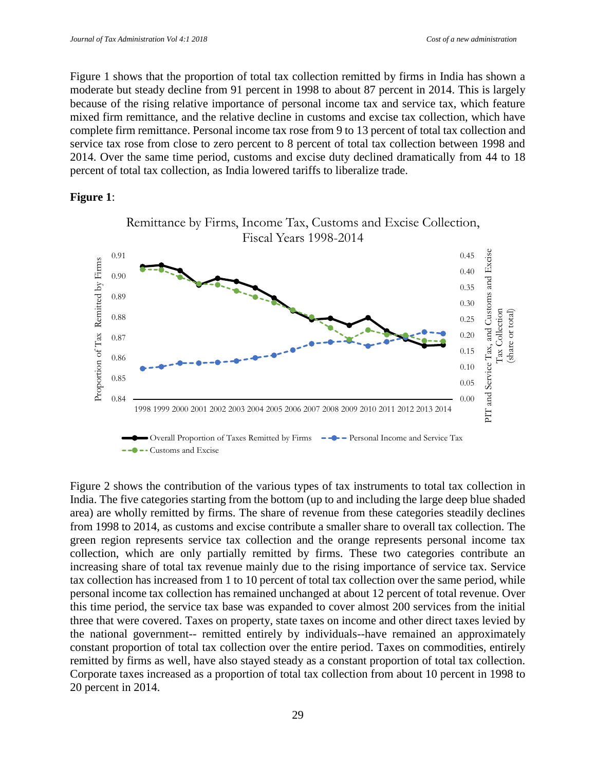Figure 1 shows that the proportion of total tax collection remitted by firms in India has shown a moderate but steady decline from 91 percent in 1998 to about 87 percent in 2014. This is largely because of the rising relative importance of personal income tax and service tax, which feature mixed firm remittance, and the relative decline in customs and excise tax collection, which have complete firm remittance. Personal income tax rose from 9 to 13 percent of total tax collection and service tax rose from close to zero percent to 8 percent of total tax collection between 1998 and 2014. Over the same time period, customs and excise duty declined dramatically from 44 to 18 percent of total tax collection, as India lowered tariffs to liberalize trade.

#### **Figure 1**:



Figure 2 shows the contribution of the various types of tax instruments to total tax collection in India. The five categories starting from the bottom (up to and including the large deep blue shaded area) are wholly remitted by firms. The share of revenue from these categories steadily declines from 1998 to 2014, as customs and excise contribute a smaller share to overall tax collection. The green region represents service tax collection and the orange represents personal income tax collection, which are only partially remitted by firms. These two categories contribute an increasing share of total tax revenue mainly due to the rising importance of service tax. Service tax collection has increased from 1 to 10 percent of total tax collection over the same period, while personal income tax collection has remained unchanged at about 12 percent of total revenue. Over this time period, the service tax base was expanded to cover almost 200 services from the initial three that were covered. Taxes on property, state taxes on income and other direct taxes levied by the national government-- remitted entirely by individuals--have remained an approximately constant proportion of total tax collection over the entire period. Taxes on commodities, entirely remitted by firms as well, have also stayed steady as a constant proportion of total tax collection. Corporate taxes increased as a proportion of total tax collection from about 10 percent in 1998 to 20 percent in 2014.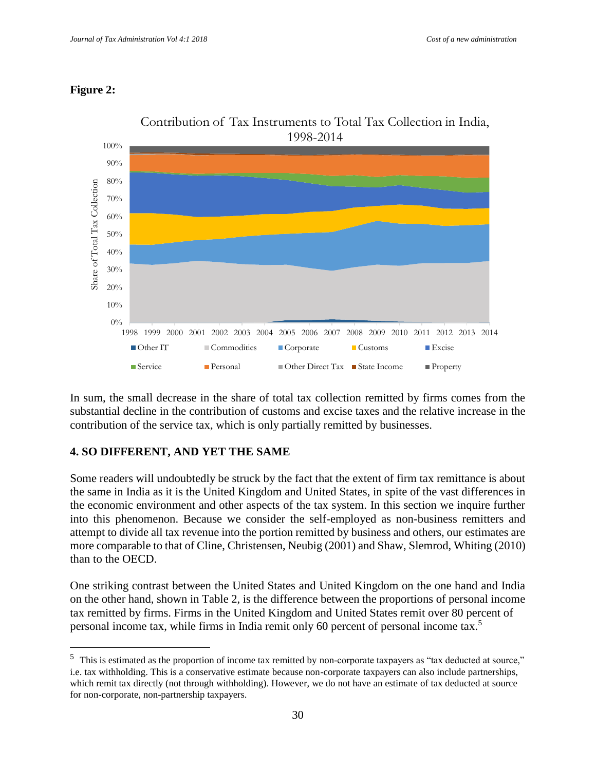### **Figure 2:**

 $\overline{a}$ 



In sum, the small decrease in the share of total tax collection remitted by firms comes from the substantial decline in the contribution of customs and excise taxes and the relative increase in the contribution of the service tax, which is only partially remitted by businesses.

## **4. SO DIFFERENT, AND YET THE SAME**

Some readers will undoubtedly be struck by the fact that the extent of firm tax remittance is about the same in India as it is the United Kingdom and United States, in spite of the vast differences in the economic environment and other aspects of the tax system. In this section we inquire further into this phenomenon. Because we consider the self-employed as non-business remitters and attempt to divide all tax revenue into the portion remitted by business and others, our estimates are more comparable to that of Cline, Christensen, Neubig (2001) and Shaw, Slemrod, Whiting (2010) than to the OECD.

One striking contrast between the United States and United Kingdom on the one hand and India on the other hand, shown in Table 2, is the difference between the proportions of personal income tax remitted by firms. Firms in the United Kingdom and United States remit over 80 percent of personal income tax, while firms in India remit only 60 percent of personal income tax.<sup>5</sup>

<sup>&</sup>lt;sup>5</sup> This is estimated as the proportion of income tax remitted by non-corporate taxpayers as "tax deducted at source," i.e. tax withholding. This is a conservative estimate because non-corporate taxpayers can also include partnerships, which remit tax directly (not through withholding). However, we do not have an estimate of tax deducted at source for non-corporate, non-partnership taxpayers.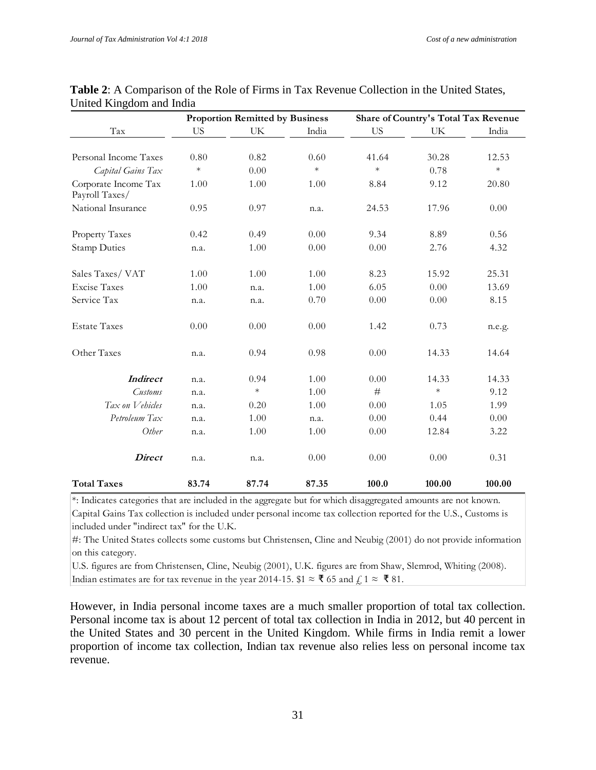|                                        |           | <b>Proportion Remitted by Business</b> |        |           | Share of Country's Total Tax Revenue |        |
|----------------------------------------|-----------|----------------------------------------|--------|-----------|--------------------------------------|--------|
| $\operatorname{Tax}$                   | <b>US</b> | UK                                     | India  | <b>US</b> | UK                                   | India  |
| Personal Income Taxes                  | 0.80      | 0.82                                   | 0.60   | 41.64     | 30.28                                | 12.53  |
| Capital Gains Tax                      | $\ast$    | 0.00                                   | $\ast$ | $\ast$    | 0.78                                 | $\ast$ |
| Corporate Income Tax<br>Payroll Taxes/ | 1.00      | 1.00                                   | 1.00   | 8.84      | 9.12                                 | 20.80  |
| National Insurance                     | 0.95      | 0.97                                   | n.a.   | 24.53     | 17.96                                | 0.00   |
| Property Taxes                         | 0.42      | 0.49                                   | 0.00   | 9.34      | 8.89                                 | 0.56   |
| <b>Stamp Duties</b>                    | n.a.      | 1.00                                   | 0.00   | 0.00      | 2.76                                 | 4.32   |
| Sales Taxes/VAT                        | 1.00      | 1.00                                   | 1.00   | 8.23      | 15.92                                | 25.31  |
| <b>Excise Taxes</b>                    | 1.00      | n.a.                                   | 1.00   | 6.05      | 0.00                                 | 13.69  |
| Service Tax                            | n.a.      | n.a.                                   | 0.70   | 0.00      | 0.00                                 | 8.15   |
| <b>Estate Taxes</b>                    | 0.00      | 0.00                                   | 0.00   | 1.42      | 0.73                                 | n.e.g. |
| Other Taxes                            | n.a.      | 0.94                                   | 0.98   | 0.00      | 14.33                                | 14.64  |
| <b>Indirect</b>                        | n.a.      | 0.94                                   | 1.00   | 0.00      | 14.33                                | 14.33  |
| Customs                                | n.a.      | $\ast$                                 | 1.00   | #         | $\ast$                               | 9.12   |
| Tax on Vehicles                        | n.a.      | 0.20                                   | 1.00   | 0.00      | 1.05                                 | 1.99   |
| Petroleum Tax                          | n.a.      | 1.00                                   | n.a.   | 0.00      | 0.44                                 | 0.00   |
| Other                                  | n.a.      | 1.00                                   | 1.00   | 0.00      | 12.84                                | 3.22   |
| <b>Direct</b>                          | n.a.      | n.a.                                   | 0.00   | 0.00      | 0.00                                 | 0.31   |
| <b>Total Taxes</b>                     | 83.74     | 87.74                                  | 87.35  | 100.0     | 100.00                               | 100.00 |

| <b>Table 2:</b> A Comparison of the Role of Firms in Tax Revenue Collection in the United States, |  |  |
|---------------------------------------------------------------------------------------------------|--|--|
| United Kingdom and India                                                                          |  |  |

\*: Indicates categories that are included in the aggregate but for which disaggregated amounts are not known. Capital Gains Tax collection is included under personal income tax collection reported for the U.S., Customs is included under "indirect tax" for the U.K.

#: The United States collects some customs but Christensen, Cline and Neubig (2001) do not provide information on this category.

U.S. figures are from Christensen, Cline, Neubig (2001), U.K. figures are from Shaw, Slemrod, Whiting (2008). Indian estimates are for tax revenue in the year 2014-15.  $$1 \approx \text{\textless} 65$  and  $\text{\textless} 1 \approx \text{\textless} 81$ .

However, in India personal income taxes are a much smaller proportion of total tax collection. Personal income tax is about 12 percent of total tax collection in India in 2012, but 40 percent in the United States and 30 percent in the United Kingdom. While firms in India remit a lower proportion of income tax collection, Indian tax revenue also relies less on personal income tax revenue.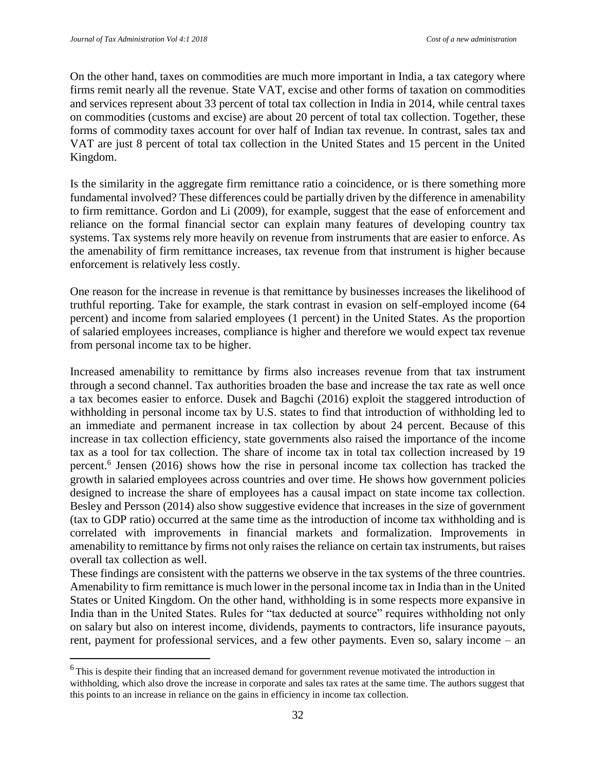$\overline{a}$ 

On the other hand, taxes on commodities are much more important in India, a tax category where firms remit nearly all the revenue. State VAT, excise and other forms of taxation on commodities and services represent about 33 percent of total tax collection in India in 2014, while central taxes on commodities (customs and excise) are about 20 percent of total tax collection. Together, these forms of commodity taxes account for over half of Indian tax revenue. In contrast, sales tax and VAT are just 8 percent of total tax collection in the United States and 15 percent in the United Kingdom.

Is the similarity in the aggregate firm remittance ratio a coincidence, or is there something more fundamental involved? These differences could be partially driven by the difference in amenability to firm remittance. Gordon and Li (2009), for example, suggest that the ease of enforcement and reliance on the formal financial sector can explain many features of developing country tax systems. Tax systems rely more heavily on revenue from instruments that are easier to enforce. As the amenability of firm remittance increases, tax revenue from that instrument is higher because enforcement is relatively less costly.

One reason for the increase in revenue is that remittance by businesses increases the likelihood of truthful reporting. Take for example, the stark contrast in evasion on self-employed income (64 percent) and income from salaried employees (1 percent) in the United States. As the proportion of salaried employees increases, compliance is higher and therefore we would expect tax revenue from personal income tax to be higher.

Increased amenability to remittance by firms also increases revenue from that tax instrument through a second channel. Tax authorities broaden the base and increase the tax rate as well once a tax becomes easier to enforce. Dusek and Bagchi (2016) exploit the staggered introduction of withholding in personal income tax by U.S. states to find that introduction of withholding led to an immediate and permanent increase in tax collection by about 24 percent. Because of this increase in tax collection efficiency, state governments also raised the importance of the income tax as a tool for tax collection. The share of income tax in total tax collection increased by 19 percent.<sup>6</sup> Jensen (2016) shows how the rise in personal income tax collection has tracked the growth in salaried employees across countries and over time. He shows how government policies designed to increase the share of employees has a causal impact on state income tax collection. Besley and Persson (2014) also show suggestive evidence that increases in the size of government (tax to GDP ratio) occurred at the same time as the introduction of income tax withholding and is correlated with improvements in financial markets and formalization. Improvements in amenability to remittance by firms not only raises the reliance on certain tax instruments, but raises overall tax collection as well.

These findings are consistent with the patterns we observe in the tax systems of the three countries. Amenability to firm remittance is much lower in the personal income tax in India than in the United States or United Kingdom. On the other hand, withholding is in some respects more expansive in India than in the United States. Rules for "tax deducted at source" requires withholding not only on salary but also on interest income, dividends, payments to contractors, life insurance payouts, rent, payment for professional services, and a few other payments. Even so, salary income – an

<sup>&</sup>lt;sup>6</sup> This is despite their finding that an increased demand for government revenue motivated the introduction in withholding, which also drove the increase in corporate and sales tax rates at the same time. The authors suggest that this points to an increase in reliance on the gains in efficiency in income tax collection.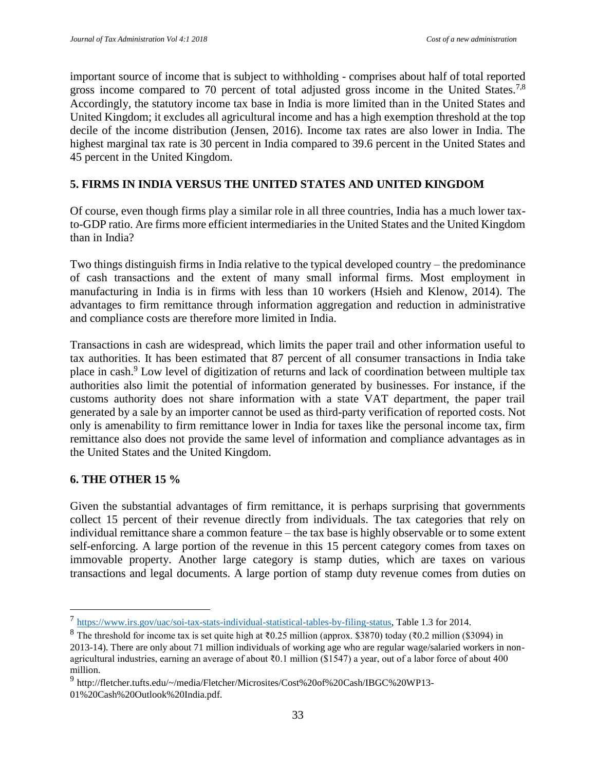important source of income that is subject to withholding - comprises about half of total reported gross income compared to 70 percent of total adjusted gross income in the United States.<sup>7,8</sup> Accordingly, the statutory income tax base in India is more limited than in the United States and United Kingdom; it excludes all agricultural income and has a high exemption threshold at the top decile of the income distribution (Jensen, 2016). Income tax rates are also lower in India. The highest marginal tax rate is 30 percent in India compared to 39.6 percent in the United States and 45 percent in the United Kingdom.

### **5. FIRMS IN INDIA VERSUS THE UNITED STATES AND UNITED KINGDOM**

Of course, even though firms play a similar role in all three countries, India has a much lower taxto-GDP ratio. Are firms more efficient intermediaries in the United States and the United Kingdom than in India?

Two things distinguish firms in India relative to the typical developed country – the predominance of cash transactions and the extent of many small informal firms. Most employment in manufacturing in India is in firms with less than 10 workers (Hsieh and Klenow, 2014). The advantages to firm remittance through information aggregation and reduction in administrative and compliance costs are therefore more limited in India.

Transactions in cash are widespread, which limits the paper trail and other information useful to tax authorities. It has been estimated that 87 percent of all consumer transactions in India take place in cash.<sup>9</sup> Low level of digitization of returns and lack of coordination between multiple tax authorities also limit the potential of information generated by businesses. For instance, if the customs authority does not share information with a state VAT department, the paper trail generated by a sale by an importer cannot be used as third-party verification of reported costs. Not only is amenability to firm remittance lower in India for taxes like the personal income tax, firm remittance also does not provide the same level of information and compliance advantages as in the United States and the United Kingdom.

#### **6. THE OTHER 15 %**

 $\overline{a}$ 

Given the substantial advantages of firm remittance, it is perhaps surprising that governments collect 15 percent of their revenue directly from individuals. The tax categories that rely on individual remittance share a common feature – the tax base is highly observable or to some extent self-enforcing. A large portion of the revenue in this 15 percent category comes from taxes on immovable property. Another large category is stamp duties, which are taxes on various transactions and legal documents. A large portion of stamp duty revenue comes from duties on

<sup>&</sup>lt;sup>7</sup> [https://www.irs.gov/uac/soi-tax-stats-individual-statistical-tables-by-filing-status,](https://www.irs.gov/uac/soi-tax-stats-individual-statistical-tables-by-filing-status) Table 1.3 for 2014.

<sup>8</sup> The threshold for income tax is set quite high at ₹0.25 million (approx. \$3870) today (₹0.2 million (\$3094) in 2013-14). There are only about 71 million individuals of working age who are regular wage/salaried workers in nonagricultural industries, earning an average of about ₹0.1 million (\$1547) a year, out of a labor force of about 400 million.

<sup>&</sup>lt;sup>9</sup> http://fletcher.tufts.edu/~/media/Fletcher/Microsites/Cost%20of%20Cash/IBGC%20WP13-01%20Cash%20Outlook%20India.pdf.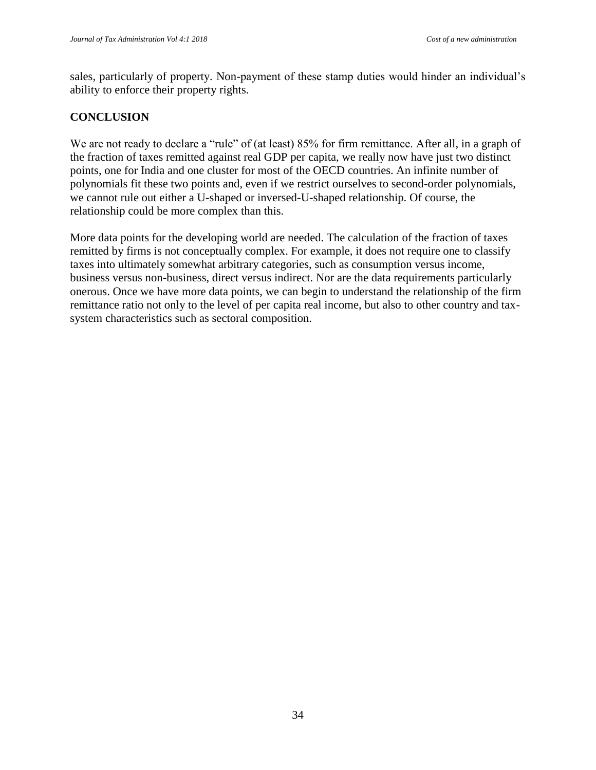sales, particularly of property. Non-payment of these stamp duties would hinder an individual's ability to enforce their property rights.

### **CONCLUSION**

We are not ready to declare a "rule" of (at least) 85% for firm remittance. After all, in a graph of the fraction of taxes remitted against real GDP per capita, we really now have just two distinct points, one for India and one cluster for most of the OECD countries. An infinite number of polynomials fit these two points and, even if we restrict ourselves to second-order polynomials, we cannot rule out either a U-shaped or inversed-U-shaped relationship. Of course, the relationship could be more complex than this.

More data points for the developing world are needed. The calculation of the fraction of taxes remitted by firms is not conceptually complex. For example, it does not require one to classify taxes into ultimately somewhat arbitrary categories, such as consumption versus income, business versus non-business, direct versus indirect. Nor are the data requirements particularly onerous. Once we have more data points, we can begin to understand the relationship of the firm remittance ratio not only to the level of per capita real income, but also to other country and taxsystem characteristics such as sectoral composition.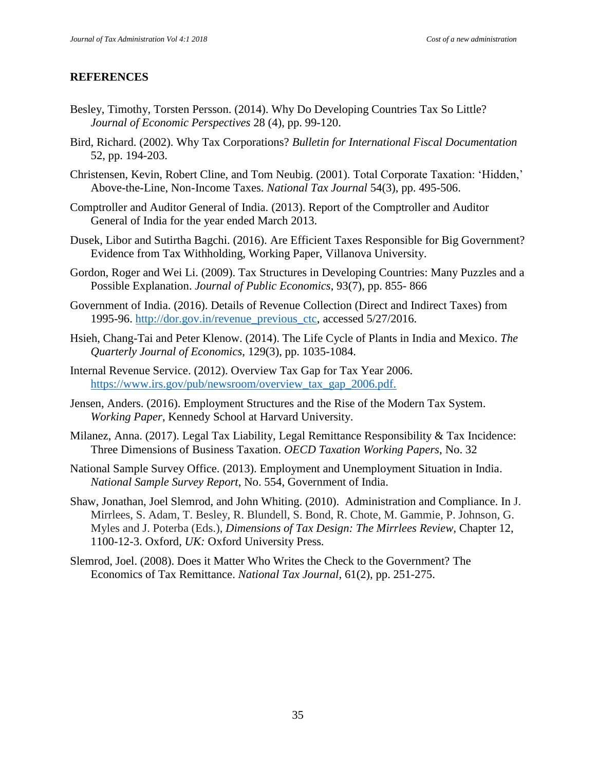### **REFERENCES**

- Besley, Timothy, Torsten Persson. (2014). Why Do Developing Countries Tax So Little? *Journal of Economic Perspectives* 28 (4), pp. 99-120.
- Bird, Richard. (2002). Why Tax Corporations? *Bulletin for International Fiscal Documentation* 52, pp. 194-203.
- Christensen, Kevin, Robert Cline, and Tom Neubig. (2001). Total Corporate Taxation: 'Hidden,' Above-the-Line, Non-Income Taxes. *National Tax Journal* 54(3), pp. 495-506.
- Comptroller and Auditor General of India. (2013). Report of the Comptroller and Auditor General of India for the year ended March 2013.
- Dusek, Libor and Sutirtha Bagchi. (2016). Are Efficient Taxes Responsible for Big Government? Evidence from Tax Withholding, Working Paper, Villanova University.
- Gordon, Roger and Wei Li. (2009). Tax Structures in Developing Countries: Many Puzzles and a Possible Explanation. *Journal of Public Economics*, 93(7), pp. 855- 866
- Government of India. (2016). Details of Revenue Collection (Direct and Indirect Taxes) from 1995-96. [http://dor.gov.in/revenue\\_previous\\_ctc,](http://dor.gov.in/revenue_previous_ctc) accessed 5/27/2016.
- Hsieh, Chang-Tai and Peter Klenow. (2014). The Life Cycle of Plants in India and Mexico. *The Quarterly Journal of Economics*, 129(3), pp. 1035-1084.
- Internal Revenue Service. (2012). Overview Tax Gap for Tax Year 2006. [https://www.irs.gov/pub/newsroom/overview\\_tax\\_gap\\_2006.pdf.](https://www.irs.gov/pub/newsroom/overview_tax_gap_2006.pdf)
- Jensen, Anders. (2016). Employment Structures and the Rise of the Modern Tax System. *Working Paper*, Kennedy School at Harvard University.
- Milanez, Anna. (2017). Legal Tax Liability, Legal Remittance Responsibility & Tax Incidence: Three Dimensions of Business Taxation. *OECD Taxation Working Papers*, No. 32
- National Sample Survey Office. (2013). Employment and Unemployment Situation in India. *National Sample Survey Report*, No. 554, Government of India.
- Shaw, Jonathan, Joel Slemrod, and John Whiting. (2010). Administration and Compliance. In J. Mirrlees, S. Adam, T. Besley, R. Blundell, S. Bond, R. Chote, M. Gammie, P. Johnson, G. Myles and J. Poterba (Eds.), *Dimensions of Tax Design: The Mirrlees Review,* Chapter 12, 1100-12-3. Oxford*, UK:* Oxford University Press*.*
- Slemrod, Joel. (2008). Does it Matter Who Writes the Check to the Government? The Economics of Tax Remittance. *National Tax Journal*, 61(2), pp. 251-275.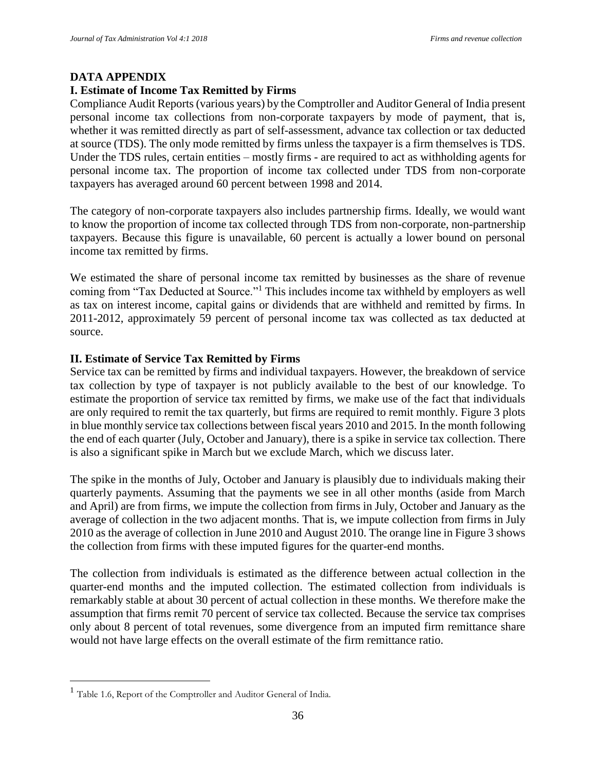#### **DATA APPENDIX**

#### **I. Estimate of Income Tax Remitted by Firms**

Compliance Audit Reports (various years) by the Comptroller and Auditor General of India present personal income tax collections from non-corporate taxpayers by mode of payment, that is, whether it was remitted directly as part of self-assessment, advance tax collection or tax deducted at source (TDS). The only mode remitted by firms unless the taxpayer is a firm themselves is TDS. Under the TDS rules, certain entities – mostly firms - are required to act as withholding agents for personal income tax. The proportion of income tax collected under TDS from non-corporate taxpayers has averaged around 60 percent between 1998 and 2014.

The category of non-corporate taxpayers also includes partnership firms. Ideally, we would want to know the proportion of income tax collected through TDS from non-corporate, non-partnership taxpayers. Because this figure is unavailable, 60 percent is actually a lower bound on personal income tax remitted by firms.

We estimated the share of personal income tax remitted by businesses as the share of revenue coming from "Tax Deducted at Source."<sup>1</sup> This includes income tax withheld by employers as well as tax on interest income, capital gains or dividends that are withheld and remitted by firms. In 2011-2012, approximately 59 percent of personal income tax was collected as tax deducted at source.

#### **II. Estimate of Service Tax Remitted by Firms**

Service tax can be remitted by firms and individual taxpayers. However, the breakdown of service tax collection by type of taxpayer is not publicly available to the best of our knowledge. To estimate the proportion of service tax remitted by firms, we make use of the fact that individuals are only required to remit the tax quarterly, but firms are required to remit monthly. Figure 3 plots in blue monthly service tax collections between fiscal years 2010 and 2015. In the month following the end of each quarter (July, October and January), there is a spike in service tax collection. There is also a significant spike in March but we exclude March, which we discuss later.

The spike in the months of July, October and January is plausibly due to individuals making their quarterly payments. Assuming that the payments we see in all other months (aside from March and April) are from firms, we impute the collection from firms in July, October and January as the average of collection in the two adjacent months. That is, we impute collection from firms in July 2010 as the average of collection in June 2010 and August 2010. The orange line in Figure 3 shows the collection from firms with these imputed figures for the quarter-end months.

The collection from individuals is estimated as the difference between actual collection in the quarter-end months and the imputed collection. The estimated collection from individuals is remarkably stable at about 30 percent of actual collection in these months. We therefore make the assumption that firms remit 70 percent of service tax collected. Because the service tax comprises only about 8 percent of total revenues, some divergence from an imputed firm remittance share would not have large effects on the overall estimate of the firm remittance ratio.

 $\overline{a}$ 

<sup>&</sup>lt;sup>1</sup> Table 1.6, Report of the Comptroller and Auditor General of India.